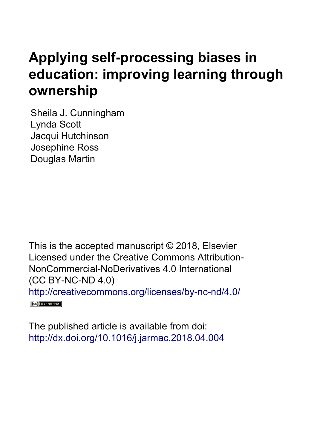# **Applying self-processing biases in education: improving learning through ownership**

Sheila J. Cunningham Lynda Scott Jacqui Hutchinson Josephine Ross Douglas Martin

This is the accepted manuscript © 2018, Elsevier Licensed under the Creative Commons Attribution-NonCommercial-NoDerivatives 4.0 International (CC BY-NC-ND 4.0) <http://creativecommons.org/licenses/by-nc-nd/4.0/>  $\left(\text{cc}\right)$  BY-NC-ND

The published article is available from doi: <http://dx.doi.org/10.1016/j.jarmac.2018.04.004>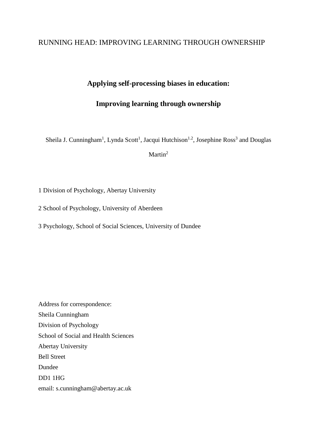## RUNNING HEAD: IMPROVING LEARNING THROUGH OWNERSHIP

## **Applying self-processing biases in education:**

# **Improving learning through ownership**

Sheila J. Cunningham<sup>1</sup>, Lynda Scott<sup>1</sup>, Jacqui Hutchison<sup>1.2</sup>, Josephine Ross<sup>3</sup> and Douglas

Martin<sup>2</sup>

1 Division of Psychology, Abertay University

2 School of Psychology, University of Aberdeen

3 Psychology, School of Social Sciences, University of Dundee

Address for correspondence: Sheila Cunningham Division of Psychology School of Social and Health Sciences Abertay University Bell Street Dundee DD1 1HG email: s.cunningham@abertay.ac.uk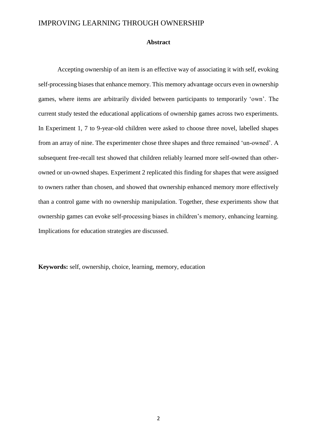#### **Abstract**

Accepting ownership of an item is an effective way of associating it with self, evoking self-processing biases that enhance memory. This memory advantage occurs even in ownership games, where items are arbitrarily divided between participants to temporarily 'own'. The current study tested the educational applications of ownership games across two experiments. In Experiment 1, 7 to 9-year-old children were asked to choose three novel, labelled shapes from an array of nine. The experimenter chose three shapes and three remained 'un-owned'. A subsequent free-recall test showed that children reliably learned more self-owned than otherowned or un-owned shapes. Experiment 2 replicated this finding for shapes that were assigned to owners rather than chosen, and showed that ownership enhanced memory more effectively than a control game with no ownership manipulation. Together, these experiments show that ownership games can evoke self-processing biases in children's memory, enhancing learning. Implications for education strategies are discussed.

**Keywords:** self, ownership, choice, learning, memory, education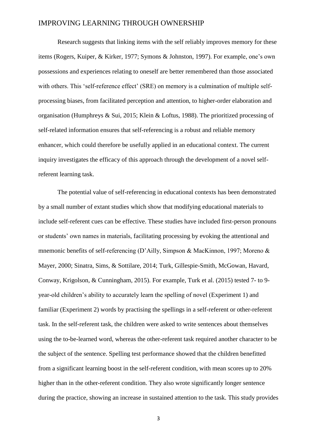Research suggests that linking items with the self reliably improves memory for these items (Rogers, Kuiper, & Kirker, 1977; Symons & Johnston, 1997). For example, one's own possessions and experiences relating to oneself are better remembered than those associated with others. This 'self-reference effect' (SRE) on memory is a culmination of multiple selfprocessing biases, from facilitated perception and attention, to higher-order elaboration and organisation (Humphreys & Sui, 2015; Klein & Loftus, 1988). The prioritized processing of self-related information ensures that self-referencing is a robust and reliable memory enhancer, which could therefore be usefully applied in an educational context. The current inquiry investigates the efficacy of this approach through the development of a novel selfreferent learning task.

The potential value of self-referencing in educational contexts has been demonstrated by a small number of extant studies which show that modifying educational materials to include self-referent cues can be effective. These studies have included first-person pronouns or students' own names in materials, facilitating processing by evoking the attentional and mnemonic benefits of self-referencing (D'Ailly, Simpson & MacKinnon, 1997; Moreno & Mayer, 2000; Sinatra, Sims, & Sottilare, 2014; Turk, Gillespie-Smith, McGowan, Havard, Conway, Krigolson, & Cunningham, 2015). For example, Turk et al. (2015) tested 7- to 9 year-old children's ability to accurately learn the spelling of novel (Experiment 1) and familiar (Experiment 2) words by practising the spellings in a self-referent or other-referent task. In the self-referent task, the children were asked to write sentences about themselves using the to-be-learned word, whereas the other-referent task required another character to be the subject of the sentence. Spelling test performance showed that the children benefitted from a significant learning boost in the self-referent condition, with mean scores up to 20% higher than in the other-referent condition. They also wrote significantly longer sentence during the practice, showing an increase in sustained attention to the task. This study provides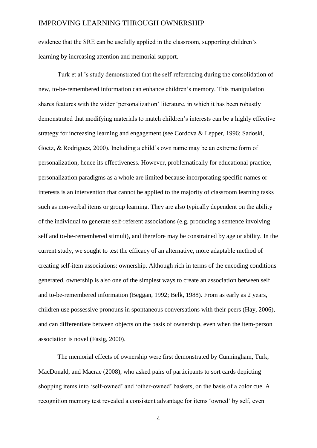evidence that the SRE can be usefully applied in the classroom, supporting children's learning by increasing attention and memorial support.

Turk et al.'s study demonstrated that the self-referencing during the consolidation of new, to-be-remembered information can enhance children's memory. This manipulation shares features with the wider 'personalization' literature, in which it has been robustly demonstrated that modifying materials to match children's interests can be a highly effective strategy for increasing learning and engagement (see Cordova & Lepper, 1996; Sadoski, Goetz, & Rodriguez, 2000). Including a child's own name may be an extreme form of personalization, hence its effectiveness. However, problematically for educational practice, personalization paradigms as a whole are limited because incorporating specific names or interests is an intervention that cannot be applied to the majority of classroom learning tasks such as non-verbal items or group learning. They are also typically dependent on the ability of the individual to generate self-referent associations (e.g. producing a sentence involving self and to-be-remembered stimuli), and therefore may be constrained by age or ability. In the current study, we sought to test the efficacy of an alternative, more adaptable method of creating self-item associations: ownership. Although rich in terms of the encoding conditions generated, ownership is also one of the simplest ways to create an association between self and to-be-remembered information (Beggan, 1992; Belk, 1988). From as early as 2 years, children use possessive pronouns in spontaneous conversations with their peers (Hay, 2006), and can differentiate between objects on the basis of ownership, even when the item-person association is novel (Fasig, 2000).

The memorial effects of ownership were first demonstrated by Cunningham, Turk, MacDonald, and Macrae (2008), who asked pairs of participants to sort cards depicting shopping items into 'self-owned' and 'other-owned' baskets, on the basis of a color cue. A recognition memory test revealed a consistent advantage for items 'owned' by self, even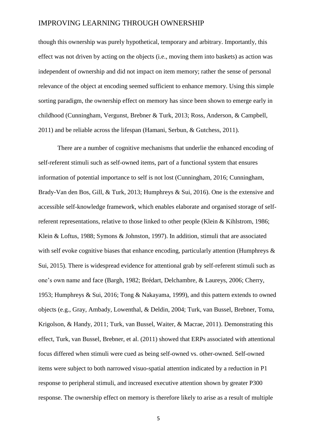though this ownership was purely hypothetical, temporary and arbitrary. Importantly, this effect was not driven by acting on the objects (i.e., moving them into baskets) as action was independent of ownership and did not impact on item memory; rather the sense of personal relevance of the object at encoding seemed sufficient to enhance memory. Using this simple sorting paradigm, the ownership effect on memory has since been shown to emerge early in childhood (Cunningham, Vergunst, Brebner & Turk, 2013; Ross, Anderson, & Campbell, 2011) and be reliable across the lifespan (Hamani, Serbun, & Gutchess, 2011).

There are a number of cognitive mechanisms that underlie the enhanced encoding of self-referent stimuli such as self-owned items, part of a functional system that ensures information of potential importance to self is not lost (Cunningham, 2016; Cunningham, Brady-Van den Bos, Gill, & Turk, 2013; Humphreys & Sui, 2016). One is the extensive and accessible self-knowledge framework, which enables elaborate and organised storage of selfreferent representations, relative to those linked to other people (Klein & Kihlstrom, 1986; Klein & Loftus, 1988; Symons & Johnston, 1997). In addition, stimuli that are associated with self evoke cognitive biases that enhance encoding, particularly attention (Humphreys  $\&$ Sui, 2015). There is widespread evidence for attentional grab by self-referent stimuli such as one's own name and face (Bargh, 1982; Brédart, Delchambre, & Laureys, 2006; Cherry, 1953; Humphreys & Sui, 2016; Tong & Nakayama, 1999), and this pattern extends to owned objects (e.g., Gray, Ambady, Lowenthal, & Deldin, 2004; Turk, van Bussel, Brebner, Toma, Krigolson, & Handy, 2011; Turk, van Bussel, Waiter, & Macrae, 2011). Demonstrating this effect, Turk, van Bussel, Brebner, et al. (2011) showed that ERPs associated with attentional focus differed when stimuli were cued as being self-owned vs. other-owned. Self-owned items were subject to both narrowed visuo-spatial attention indicated by a reduction in P1 response to peripheral stimuli, and increased executive attention shown by greater P300 response. The ownership effect on memory is therefore likely to arise as a result of multiple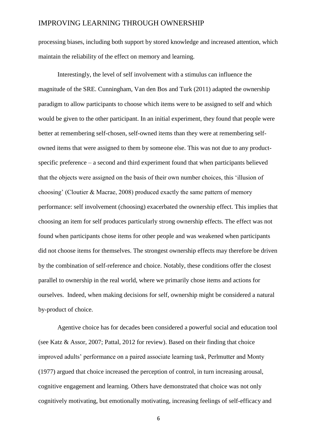processing biases, including both support by stored knowledge and increased attention, which maintain the reliability of the effect on memory and learning.

Interestingly, the level of self involvement with a stimulus can influence the magnitude of the SRE. Cunningham, Van den Bos and Turk (2011) adapted the ownership paradigm to allow participants to choose which items were to be assigned to self and which would be given to the other participant. In an initial experiment, they found that people were better at remembering self-chosen, self-owned items than they were at remembering selfowned items that were assigned to them by someone else. This was not due to any productspecific preference – a second and third experiment found that when participants believed that the objects were assigned on the basis of their own number choices, this 'illusion of choosing' (Cloutier & Macrae, 2008) produced exactly the same pattern of memory performance: self involvement (choosing) exacerbated the ownership effect. This implies that choosing an item for self produces particularly strong ownership effects. The effect was not found when participants chose items for other people and was weakened when participants did not choose items for themselves. The strongest ownership effects may therefore be driven by the combination of self-reference and choice. Notably, these conditions offer the closest parallel to ownership in the real world, where we primarily chose items and actions for ourselves. Indeed, when making decisions for self, ownership might be considered a natural by-product of choice.

Agentive choice has for decades been considered a powerful social and education tool (see Katz & Assor, 2007; Pattal, 2012 for review). Based on their finding that choice improved adults' performance on a paired associate learning task, Perlmutter and Monty (1977) argued that choice increased the perception of control, in turn increasing arousal, cognitive engagement and learning. Others have demonstrated that choice was not only cognitively motivating, but emotionally motivating, increasing feelings of self-efficacy and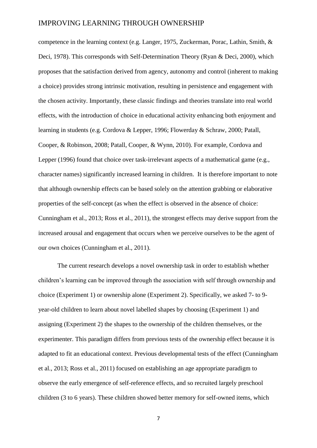competence in the learning context (e.g. Langer, 1975, Zuckerman, Porac, Lathin, Smith, & Deci, 1978). This corresponds with Self-Determination Theory (Ryan & Deci, 2000), which proposes that the satisfaction derived from agency, autonomy and control (inherent to making a choice) provides strong intrinsic motivation, resulting in persistence and engagement with the chosen activity. Importantly, these classic findings and theories translate into real world effects, with the introduction of choice in educational activity enhancing both enjoyment and learning in students (e.g. Cordova & Lepper, 1996; Flowerday & Schraw, 2000; Patall, Cooper, & Robinson, 2008; Patall, Cooper, & Wynn, 2010). For example, Cordova and Lepper (1996) found that choice over task-irrelevant aspects of a mathematical game (e.g., character names) significantly increased learning in children. It is therefore important to note that although ownership effects can be based solely on the attention grabbing or elaborative properties of the self-concept (as when the effect is observed in the absence of choice: Cunningham et al., 2013; Ross et al., 2011), the strongest effects may derive support from the increased arousal and engagement that occurs when we perceive ourselves to be the agent of our own choices (Cunningham et al., 2011).

The current research develops a novel ownership task in order to establish whether children's learning can be improved through the association with self through ownership and choice (Experiment 1) or ownership alone (Experiment 2). Specifically, we asked 7- to 9 year-old children to learn about novel labelled shapes by choosing (Experiment 1) and assigning (Experiment 2) the shapes to the ownership of the children themselves, or the experimenter. This paradigm differs from previous tests of the ownership effect because it is adapted to fit an educational context. Previous developmental tests of the effect (Cunningham et al., 2013; Ross et al., 2011) focused on establishing an age appropriate paradigm to observe the early emergence of self-reference effects, and so recruited largely preschool children (3 to 6 years). These children showed better memory for self-owned items, which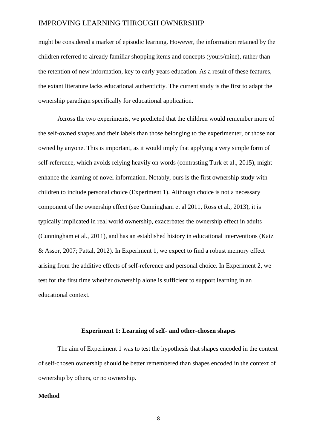might be considered a marker of episodic learning. However, the information retained by the children referred to already familiar shopping items and concepts (yours/mine), rather than the retention of new information, key to early years education. As a result of these features, the extant literature lacks educational authenticity. The current study is the first to adapt the ownership paradigm specifically for educational application.

Across the two experiments, we predicted that the children would remember more of the self-owned shapes and their labels than those belonging to the experimenter, or those not owned by anyone. This is important, as it would imply that applying a very simple form of self-reference, which avoids relying heavily on words (contrasting Turk et al., 2015), might enhance the learning of novel information. Notably, ours is the first ownership study with children to include personal choice (Experiment 1). Although choice is not a necessary component of the ownership effect (see Cunningham et al 2011, Ross et al., 2013), it is typically implicated in real world ownership, exacerbates the ownership effect in adults (Cunningham et al., 2011), and has an established history in educational interventions (Katz & Assor, 2007; Pattal, 2012). In Experiment 1, we expect to find a robust memory effect arising from the additive effects of self-reference and personal choice. In Experiment 2, we test for the first time whether ownership alone is sufficient to support learning in an educational context.

#### **Experiment 1: Learning of self- and other-chosen shapes**

The aim of Experiment 1 was to test the hypothesis that shapes encoded in the context of self-chosen ownership should be better remembered than shapes encoded in the context of ownership by others, or no ownership.

#### **Method**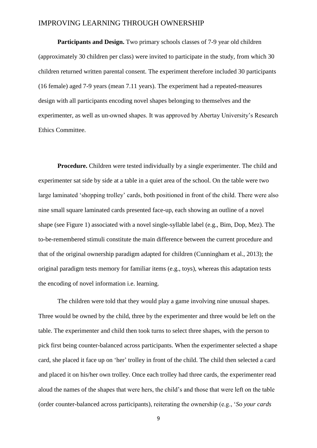**Participants and Design.** Two primary schools classes of 7-9 year old children (approximately 30 children per class) were invited to participate in the study, from which 30 children returned written parental consent. The experiment therefore included 30 participants (16 female) aged 7-9 years (mean 7.11 years). The experiment had a repeated-measures design with all participants encoding novel shapes belonging to themselves and the experimenter, as well as un-owned shapes. It was approved by Abertay University's Research Ethics Committee.

**Procedure.** Children were tested individually by a single experimenter. The child and experimenter sat side by side at a table in a quiet area of the school. On the table were two large laminated 'shopping trolley' cards, both positioned in front of the child. There were also nine small square laminated cards presented face-up, each showing an outline of a novel shape (see Figure 1) associated with a novel single-syllable label (e.g., Bim, Dop, Mez). The to-be-remembered stimuli constitute the main difference between the current procedure and that of the original ownership paradigm adapted for children (Cunningham et al., 2013); the original paradigm tests memory for familiar items (e.g., toys), whereas this adaptation tests the encoding of novel information i.e. learning.

The children were told that they would play a game involving nine unusual shapes. Three would be owned by the child, three by the experimenter and three would be left on the table. The experimenter and child then took turns to select three shapes, with the person to pick first being counter-balanced across participants. When the experimenter selected a shape card, she placed it face up on 'her' trolley in front of the child. The child then selected a card and placed it on his/her own trolley. Once each trolley had three cards, the experimenter read aloud the names of the shapes that were hers, the child's and those that were left on the table (order counter-balanced across participants), reiterating the ownership (e.g., '*So your cards*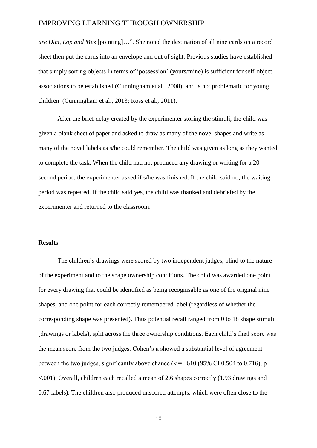*are Dim, Lop and Mez* [pointing]…". She noted the destination of all nine cards on a record sheet then put the cards into an envelope and out of sight. Previous studies have established that simply sorting objects in terms of 'possession' (yours/mine) is sufficient for self-object associations to be established (Cunningham et al., 2008), and is not problematic for young children (Cunningham et al., 2013; Ross et al., 2011).

After the brief delay created by the experimenter storing the stimuli, the child was given a blank sheet of paper and asked to draw as many of the novel shapes and write as many of the novel labels as s/he could remember. The child was given as long as they wanted to complete the task. When the child had not produced any drawing or writing for a 20 second period, the experimenter asked if s/he was finished. If the child said no, the waiting period was repeated. If the child said yes, the child was thanked and debriefed by the experimenter and returned to the classroom.

#### **Results**

The children's drawings were scored by two independent judges, blind to the nature of the experiment and to the shape ownership conditions. The child was awarded one point for every drawing that could be identified as being recognisable as one of the original nine shapes, and one point for each correctly remembered label (regardless of whether the corresponding shape was presented). Thus potential recall ranged from 0 to 18 shape stimuli (drawings or labels), split across the three ownership conditions. Each child's final score was the mean score from the two judges. Cohen's κ showed a substantial level of agreement between the two judges, significantly above chance ( $\kappa$  = .610 (95% CI 0.504 to 0.716), p <.001). Overall, children each recalled a mean of 2.6 shapes correctly (1.93 drawings and 0.67 labels). The children also produced unscored attempts, which were often close to the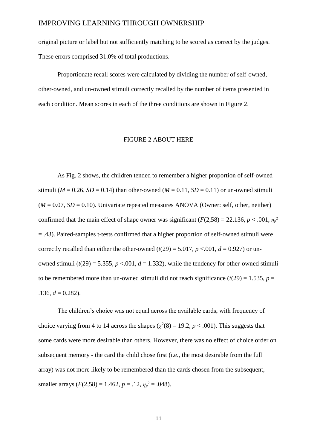original picture or label but not sufficiently matching to be scored as correct by the judges. These errors comprised 31.0% of total productions.

Proportionate recall scores were calculated by dividing the number of self-owned, other-owned, and un-owned stimuli correctly recalled by the number of items presented in each condition. Mean scores in each of the three conditions are shown in Figure 2.

#### FIGURE 2 ABOUT HERE

As Fig. 2 shows, the children tended to remember a higher proportion of self-owned stimuli ( $M = 0.26$ ,  $SD = 0.14$ ) than other-owned ( $M = 0.11$ ,  $SD = 0.11$ ) or un-owned stimuli  $(M = 0.07, SD = 0.10)$ . Univariate repeated measures ANOVA (Owner: self, other, neither) confirmed that the main effect of shape owner was significant ( $F(2,58) = 22.136$ ,  $p < .001$ ,  $\eta_p^2$ = .43). Paired-samples t-tests confirmed that a higher proportion of self-owned stimuli were correctly recalled than either the other-owned  $(t(29) = 5.017, p < 0.001, d = 0.927)$  or unowned stimuli  $(t(29) = 5.355, p < .001, d = 1.332)$ , while the tendency for other-owned stimuli to be remembered more than un-owned stimuli did not reach significance  $(t(29) = 1.535, p =$  $.136, d = 0.282$ ).

The children's choice was not equal across the available cards, with frequency of choice varying from 4 to 14 across the shapes  $(\chi^2(8) = 19.2, p < .001)$ . This suggests that some cards were more desirable than others. However, there was no effect of choice order on subsequent memory - the card the child chose first (i.e., the most desirable from the full array) was not more likely to be remembered than the cards chosen from the subsequent, smaller arrays  $(F(2,58) = 1.462, p = .12, \eta_p^2 = .048)$ .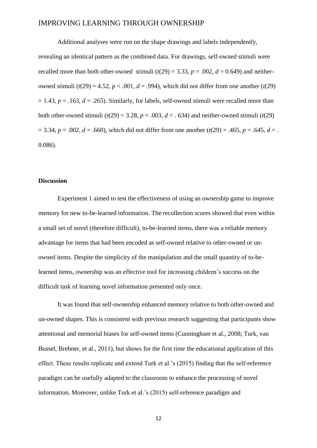Additional analyses were run on the shape drawings and labels independently, revealing an identical pattern as the combined data. For drawings, self-owned stimuli were recalled more than both other-owned stimuli  $(t(29) = 3.33, p = .002, d = 0.649)$  and neitherowned stimuli  $(t(29) = 4.52, p < .001, d = .994)$ , which did not differ from one another  $(t(29)$  $= 1.43$ ,  $p = .163$ ,  $d = .265$ ). Similarly, for labels, self-owned stimuli were recalled more than both other-owned stimuli  $(t(29) = 3.28, p = .003, d = .634)$  and neither-owned stimuli  $(t(29)$  $p = 3.34$ ,  $p = .002$ ,  $d = .660$ ), which did not differ from one another ( $t(29) = .465$ ,  $p = .645$ ,  $d = .$ 0.086).

#### **Discussion**

Experiment 1 aimed to test the effectiveness of using an ownership game to improve memory for new to-be-learned information. The recollection scores showed that even within a small set of novel (therefore difficult), to-be-learned items, there was a reliable memory advantage for items that had been encoded as self-owned relative to other-owned or unowned items. Despite the simplicity of the manipulation and the small quantity of to-belearned items, ownership was an effective tool for increasing children's success on the difficult task of learning novel information presented only once.

It was found that self-ownership enhanced memory relative to both other-owned and un-owned shapes. This is consistent with previous research suggesting that participants show attentional and memorial biases for self-owned items (Cunningham et al., 2008; Turk, van Bussel, Brebner, et al., 2011), but shows for the first time the educational application of this effect. These results replicate and extend Turk et al.'s (2015) finding that the self-reference paradigm can be usefully adapted to the classroom to enhance the processing of novel information. Moreover, unlike Turk et al.'s (2015) self-reference paradigm and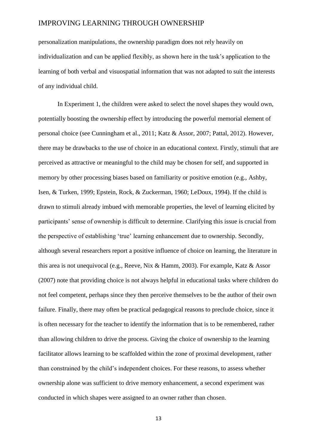personalization manipulations, the ownership paradigm does not rely heavily on individualization and can be applied flexibly, as shown here in the task's application to the learning of both verbal and visuospatial information that was not adapted to suit the interests of any individual child.

In Experiment 1, the children were asked to select the novel shapes they would own, potentially boosting the ownership effect by introducing the powerful memorial element of personal choice (see Cunningham et al., 2011; Katz & Assor, 2007; Pattal, 2012). However, there may be drawbacks to the use of choice in an educational context. Firstly, stimuli that are perceived as attractive or meaningful to the child may be chosen for self, and supported in memory by other processing biases based on familiarity or positive emotion (e.g., Ashby, Isen, & Turken, 1999; Epstein, Rock, & Zuckerman, 1960; LeDoux, 1994). If the child is drawn to stimuli already imbued with memorable properties, the level of learning elicited by participants' sense of ownership is difficult to determine. Clarifying this issue is crucial from the perspective of establishing 'true' learning enhancement due to ownership. Secondly, although several researchers report a positive influence of choice on learning, the literature in this area is not unequivocal (e.g., Reeve, Nix & Hamm, 2003). For example, Katz & Assor (2007) note that providing choice is not always helpful in educational tasks where children do not feel competent, perhaps since they then perceive themselves to be the author of their own failure. Finally, there may often be practical pedagogical reasons to preclude choice, since it is often necessary for the teacher to identify the information that is to be remembered, rather than allowing children to drive the process. Giving the choice of ownership to the learning facilitator allows learning to be scaffolded within the zone of proximal development, rather than constrained by the child's independent choices. For these reasons, to assess whether ownership alone was sufficient to drive memory enhancement, a second experiment was conducted in which shapes were assigned to an owner rather than chosen.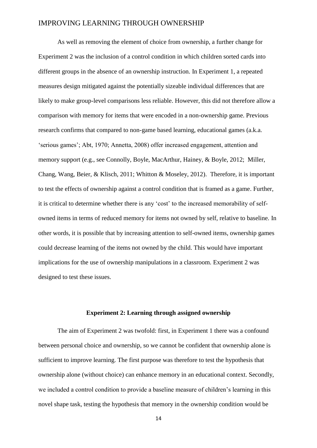As well as removing the element of choice from ownership, a further change for Experiment 2 was the inclusion of a control condition in which children sorted cards into different groups in the absence of an ownership instruction. In Experiment 1, a repeated measures design mitigated against the potentially sizeable individual differences that are likely to make group-level comparisons less reliable. However, this did not therefore allow a comparison with memory for items that were encoded in a non-ownership game. Previous research confirms that compared to non-game based learning, educational games (a.k.a. 'serious games'; Abt, 1970; Annetta, 2008) offer increased engagement, attention and memory support (e.g., see Connolly, Boyle, MacArthur, Hainey, & Boyle, 2012; Miller, Chang, Wang, Beier, & Klisch, 2011; Whitton & Moseley, 2012). Therefore, it is important to test the effects of ownership against a control condition that is framed as a game. Further, it is critical to determine whether there is any 'cost' to the increased memorability of selfowned items in terms of reduced memory for items not owned by self, relative to baseline. In other words, it is possible that by increasing attention to self-owned items, ownership games could decrease learning of the items not owned by the child. This would have important implications for the use of ownership manipulations in a classroom. Experiment 2 was designed to test these issues.

#### **Experiment 2: Learning through assigned ownership**

The aim of Experiment 2 was twofold: first, in Experiment 1 there was a confound between personal choice and ownership, so we cannot be confident that ownership alone is sufficient to improve learning. The first purpose was therefore to test the hypothesis that ownership alone (without choice) can enhance memory in an educational context. Secondly, we included a control condition to provide a baseline measure of children's learning in this novel shape task, testing the hypothesis that memory in the ownership condition would be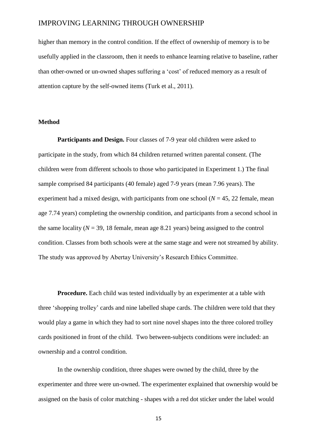higher than memory in the control condition. If the effect of ownership of memory is to be usefully applied in the classroom, then it needs to enhance learning relative to baseline, rather than other-owned or un-owned shapes suffering a 'cost' of reduced memory as a result of attention capture by the self-owned items (Turk et al., 2011).

#### **Method**

**Participants and Design.** Four classes of 7-9 year old children were asked to participate in the study, from which 84 children returned written parental consent. (The children were from different schools to those who participated in Experiment 1.) The final sample comprised 84 participants (40 female) aged 7-9 years (mean 7.96 years). The experiment had a mixed design, with participants from one school ( $N = 45$ , 22 female, mean age 7.74 years) completing the ownership condition, and participants from a second school in the same locality ( $N = 39$ , 18 female, mean age 8.21 years) being assigned to the control condition. Classes from both schools were at the same stage and were not streamed by ability. The study was approved by Abertay University's Research Ethics Committee.

**Procedure.** Each child was tested individually by an experimenter at a table with three 'shopping trolley' cards and nine labelled shape cards. The children were told that they would play a game in which they had to sort nine novel shapes into the three colored trolley cards positioned in front of the child. Two between-subjects conditions were included: an ownership and a control condition.

In the ownership condition, three shapes were owned by the child, three by the experimenter and three were un-owned. The experimenter explained that ownership would be assigned on the basis of color matching - shapes with a red dot sticker under the label would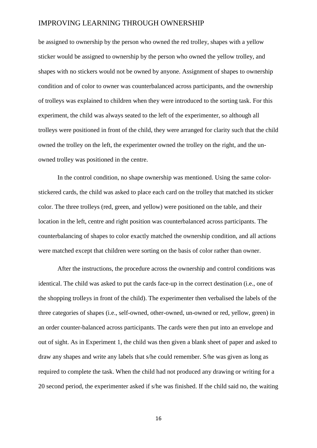be assigned to ownership by the person who owned the red trolley, shapes with a yellow sticker would be assigned to ownership by the person who owned the yellow trolley, and shapes with no stickers would not be owned by anyone. Assignment of shapes to ownership condition and of color to owner was counterbalanced across participants, and the ownership of trolleys was explained to children when they were introduced to the sorting task. For this experiment, the child was always seated to the left of the experimenter, so although all trolleys were positioned in front of the child, they were arranged for clarity such that the child owned the trolley on the left, the experimenter owned the trolley on the right, and the unowned trolley was positioned in the centre.

In the control condition, no shape ownership was mentioned. Using the same colorstickered cards, the child was asked to place each card on the trolley that matched its sticker color. The three trolleys (red, green, and yellow) were positioned on the table, and their location in the left, centre and right position was counterbalanced across participants. The counterbalancing of shapes to color exactly matched the ownership condition, and all actions were matched except that children were sorting on the basis of color rather than owner.

After the instructions, the procedure across the ownership and control conditions was identical. The child was asked to put the cards face-up in the correct destination (i.e., one of the shopping trolleys in front of the child). The experimenter then verbalised the labels of the three categories of shapes (i.e., self-owned, other-owned, un-owned or red, yellow, green) in an order counter-balanced across participants. The cards were then put into an envelope and out of sight. As in Experiment 1, the child was then given a blank sheet of paper and asked to draw any shapes and write any labels that s/he could remember. S/he was given as long as required to complete the task. When the child had not produced any drawing or writing for a 20 second period, the experimenter asked if s/he was finished. If the child said no, the waiting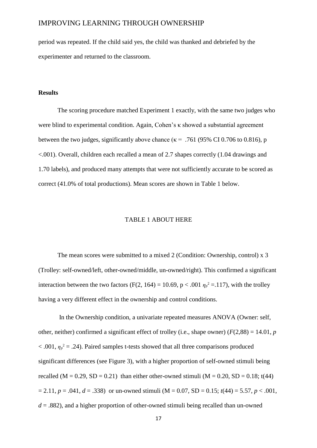period was repeated. If the child said yes, the child was thanked and debriefed by the experimenter and returned to the classroom.

#### **Results**

The scoring procedure matched Experiment 1 exactly, with the same two judges who were blind to experimental condition. Again, Cohen's κ showed a substantial agreement between the two judges, significantly above chance ( $\kappa$  = .761 (95% CI 0.706 to 0.816), p <.001). Overall, children each recalled a mean of 2.7 shapes correctly (1.04 drawings and 1.70 labels), and produced many attempts that were not sufficiently accurate to be scored as correct (41.0% of total productions). Mean scores are shown in Table 1 below.

#### TABLE 1 ABOUT HERE

The mean scores were submitted to a mixed 2 (Condition: Ownership, control) x 3 (Trolley: self-owned/left, other-owned/middle, un-owned/right). This confirmed a significant interaction between the two factors (F(2, 164) = 10.69, p < .001  $\eta_p^2$  = .117), with the trolley having a very different effect in the ownership and control conditions.

In the Ownership condition, a univariate repeated measures ANOVA (Owner: self, other, neither) confirmed a significant effect of trolley (i.e., shape owner)  $(F(2,88) = 14.01, p$  $< .001$ ,  $\eta_p^2 = .24$ ). Paired samples t-tests showed that all three comparisons produced significant differences (see Figure 3), with a higher proportion of self-owned stimuli being recalled  $(M = 0.29, SD = 0.21)$  than either other-owned stimuli  $(M = 0.20, SD = 0.18; t(44)$  $= 2.11, p = .041, d = .338$  or un-owned stimuli (M = 0.07, SD = 0.15;  $t(44) = 5.57, p < .001$ ,  $d = 0.882$ , and a higher proportion of other-owned stimuli being recalled than un-owned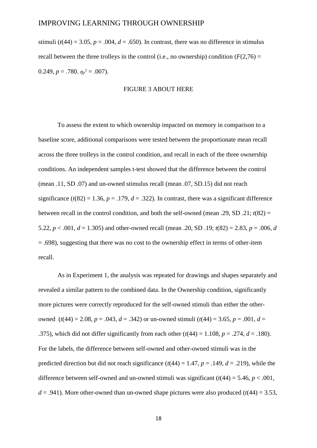stimuli ( $t(44) = 3.05$ ,  $p = .004$ ,  $d = .650$ ). In contrast, there was no difference in stimulus recall between the three trolleys in the control (i.e., no ownership) condition  $(F(2.76) =$ 0.249,  $p = .780$ .  $\eta_p^2 = .007$ ).

#### FIGURE 3 ABOUT HERE

To assess the extent to which ownership impacted on memory in comparison to a baseline score, additional comparisons were tested between the proportionate mean recall across the three trolleys in the control condition, and recall in each of the three ownership conditions. An independent samples t-test showed that the difference between the control (mean .11, SD .07) and un-owned stimulus recall (mean .07, SD.15) did not reach significance  $(t(82) = 1.36, p = .179, d = .322)$ . In contrast, there was a significant difference between recall in the control condition, and both the self-owned (mean .29, SD .21;  $t(82) =$ 5.22,  $p < .001$ ,  $d = 1.305$ ) and other-owned recall (mean .20, SD .19;  $t(82) = 2.83$ ,  $p = .006$ , *d*  $= .698$ ), suggesting that there was no cost to the ownership effect in terms of other-item recall.

As in Experiment 1, the analysis was repeated for drawings and shapes separately and revealed a similar pattern to the combined data. In the Ownership condition, significantly more pictures were correctly reproduced for the self-owned stimuli than either the otherowned  $(t(44) = 2.08, p = .043, d = .342)$  or un-owned stimuli  $(t(44) = 3.65, p = .001, d =$ .375), which did not differ significantly from each other  $(t(44) = 1.108, p = .274, d = .180)$ . For the labels, the difference between self-owned and other-owned stimuli was in the predicted direction but did not reach significance  $(t(44) = 1.47, p = .149, d = .219)$ , while the difference between self-owned and un-owned stimuli was significant  $(t(44) = 5.46, p < .001,$  $d = .941$ ). More other-owned than un-owned shape pictures were also produced ( $t(44) = 3.53$ ,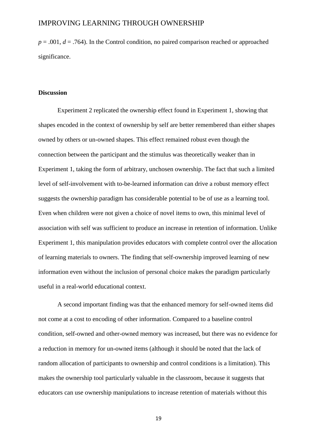$p = .001$ ,  $d = .764$ ). In the Control condition, no paired comparison reached or approached significance.

#### **Discussion**

Experiment 2 replicated the ownership effect found in Experiment 1, showing that shapes encoded in the context of ownership by self are better remembered than either shapes owned by others or un-owned shapes. This effect remained robust even though the connection between the participant and the stimulus was theoretically weaker than in Experiment 1, taking the form of arbitrary, unchosen ownership. The fact that such a limited level of self-involvement with to-be-learned information can drive a robust memory effect suggests the ownership paradigm has considerable potential to be of use as a learning tool. Even when children were not given a choice of novel items to own, this minimal level of association with self was sufficient to produce an increase in retention of information. Unlike Experiment 1, this manipulation provides educators with complete control over the allocation of learning materials to owners. The finding that self-ownership improved learning of new information even without the inclusion of personal choice makes the paradigm particularly useful in a real-world educational context.

A second important finding was that the enhanced memory for self-owned items did not come at a cost to encoding of other information. Compared to a baseline control condition, self-owned and other-owned memory was increased, but there was no evidence for a reduction in memory for un-owned items (although it should be noted that the lack of random allocation of participants to ownership and control conditions is a limitation). This makes the ownership tool particularly valuable in the classroom, because it suggests that educators can use ownership manipulations to increase retention of materials without this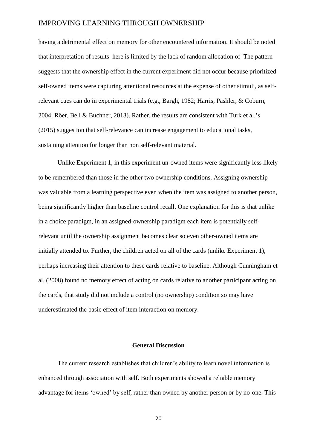having a detrimental effect on memory for other encountered information. It should be noted that interpretation of results here is limited by the lack of random allocation of The pattern suggests that the ownership effect in the current experiment did not occur because prioritized self-owned items were capturing attentional resources at the expense of other stimuli, as selfrelevant cues can do in experimental trials (e.g., Bargh, 1982; Harris, Pashler, & Coburn, 2004; Röer, Bell & Buchner, 2013). Rather, the results are consistent with Turk et al.'s (2015) suggestion that self-relevance can increase engagement to educational tasks, sustaining attention for longer than non self-relevant material.

Unlike Experiment 1, in this experiment un-owned items were significantly less likely to be remembered than those in the other two ownership conditions. Assigning ownership was valuable from a learning perspective even when the item was assigned to another person, being significantly higher than baseline control recall. One explanation for this is that unlike in a choice paradigm, in an assigned-ownership paradigm each item is potentially selfrelevant until the ownership assignment becomes clear so even other-owned items are initially attended to. Further, the children acted on all of the cards (unlike Experiment 1), perhaps increasing their attention to these cards relative to baseline. Although Cunningham et al. (2008) found no memory effect of acting on cards relative to another participant acting on the cards, that study did not include a control (no ownership) condition so may have underestimated the basic effect of item interaction on memory.

#### **General Discussion**

The current research establishes that children's ability to learn novel information is enhanced through association with self. Both experiments showed a reliable memory advantage for items 'owned' by self, rather than owned by another person or by no-one. This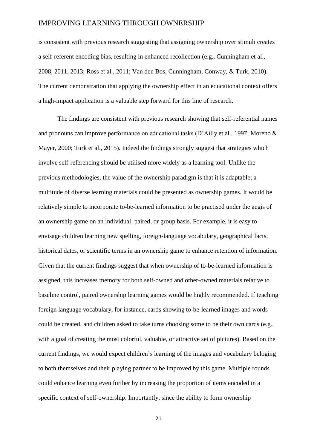is consistent with previous research suggesting that assigning ownership over stimuli creates a self-referent encoding bias, resulting in enhanced recollection (e.g., Cunningham et al., 2008, 2011, 2013; Ross et al., 2011; Van den Bos, Cunningham, Conway, & Turk, 2010). The current demonstration that applying the ownership effect in an educational context offers a high-impact application is a valuable step forward for this line of research.

The findings are consistent with previous research showing that self-referential names and pronouns can improve performance on educational tasks (D'Ailly et al., 1997; Moreno & Mayer, 2000; Turk et al., 2015). Indeed the findings strongly suggest that strategies which involve self-referencing should be utilised more widely as a learning tool. Unlike the previous methodologies, the value of the ownership paradigm is that it is adaptable; a multitude of diverse learning materials could be presented as ownership games. It would be relatively simple to incorporate to-be-learned information to be practised under the aegis of an ownership game on an individual, paired, or group basis. For example, it is easy to envisage children learning new spelling, foreign-language vocabulary, geographical facts, historical dates, or scientific terms in an ownership game to enhance retention of information. Given that the current findings suggest that when ownership of to-be-learned information is assigned, this increases memory for both self-owned and other-owned materials relative to baseline control, paired ownership learning games would be highly recommended. If teaching foreign language vocabulary, for instance, cards showing to-be-learned images and words could be created, and children asked to take turns choosing some to be their own cards (e.g., with a goal of creating the most colorful, valuable, or attractive set of pictures). Based on the current findings, we would expect children's learning of the images and vocabulary beloging to both themselves and their playing partner to be improved by this game. Multiple rounds could enhance learning even further by increasing the proportion of items encoded in a specific context of self-ownership. Importantly, since the ability to form ownership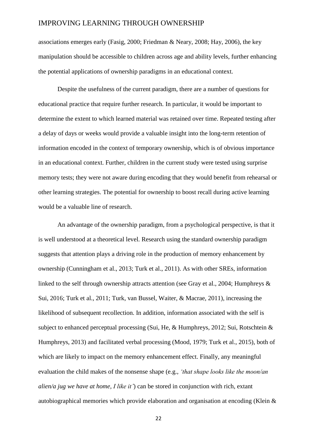associations emerges early (Fasig, 2000; Friedman & Neary, 2008; Hay, 2006), the key manipulation should be accessible to children across age and ability levels, further enhancing the potential applications of ownership paradigms in an educational context.

Despite the usefulness of the current paradigm, there are a number of questions for educational practice that require further research. In particular, it would be important to determine the extent to which learned material was retained over time. Repeated testing after a delay of days or weeks would provide a valuable insight into the long-term retention of information encoded in the context of temporary ownership, which is of obvious importance in an educational context. Further, children in the current study were tested using surprise memory tests; they were not aware during encoding that they would benefit from rehearsal or other learning strategies. The potential for ownership to boost recall during active learning would be a valuable line of research.

An advantage of the ownership paradigm, from a psychological perspective, is that it is well understood at a theoretical level. Research using the standard ownership paradigm suggests that attention plays a driving role in the production of memory enhancement by ownership (Cunningham et al., 2013; Turk et al., 2011). As with other SREs, information linked to the self through ownership attracts attention (see Gray et al., 2004; Humphreys & Sui, 2016; Turk et al., 2011; Turk, van Bussel, Waiter, & Macrae, 2011), increasing the likelihood of subsequent recollection. In addition, information associated with the self is subject to enhanced perceptual processing (Sui, He, & Humphreys, 2012; Sui, Rotschtein & Humphreys, 2013) and facilitated verbal processing (Mood, 1979; Turk et al., 2015), both of which are likely to impact on the memory enhancement effect. Finally, any meaningful evaluation the child makes of the nonsense shape (e.g., *'that shape looks like the moon/an alien/a jug we have at home, I like it'*) can be stored in conjunction with rich, extant autobiographical memories which provide elaboration and organisation at encoding (Klein &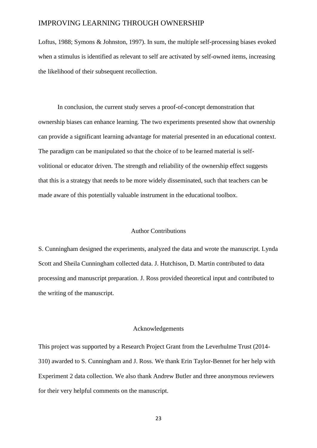Loftus, 1988; Symons & Johnston, 1997). In sum, the multiple self-processing biases evoked when a stimulus is identified as relevant to self are activated by self-owned items, increasing the likelihood of their subsequent recollection.

In conclusion, the current study serves a proof-of-concept demonstration that ownership biases can enhance learning. The two experiments presented show that ownership can provide a significant learning advantage for material presented in an educational context. The paradigm can be manipulated so that the choice of to be learned material is selfvolitional or educator driven. The strength and reliability of the ownership effect suggests that this is a strategy that needs to be more widely disseminated, such that teachers can be made aware of this potentially valuable instrument in the educational toolbox.

#### Author Contributions

S. Cunningham designed the experiments, analyzed the data and wrote the manuscript. Lynda Scott and Sheila Cunningham collected data. J. Hutchison, D. Martin contributed to data processing and manuscript preparation. J. Ross provided theoretical input and contributed to the writing of the manuscript.

#### Acknowledgements

This project was supported by a Research Project Grant from the Leverhulme Trust (2014- 310) awarded to S. Cunningham and J. Ross. We thank Erin Taylor-Bennet for her help with Experiment 2 data collection. We also thank Andrew Butler and three anonymous reviewers for their very helpful comments on the manuscript.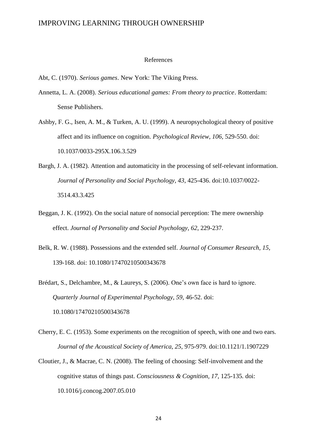#### References

Abt, C. (1970). *Serious games*. New York: The Viking Press.

- Annetta, L. A. (2008). *Serious educational games: From theory to practice*. Rotterdam: Sense Publishers.
- Ashby, F. G., Isen, A. M., & Turken, A. U. (1999). A neuropsychological theory of positive affect and its influence on cognition. *Psychological Review, 106,* 529-550. doi: 10.1037/0033-295X.106.3.529
- Bargh, J. A. (1982). Attention and automaticity in the processing of self-relevant information. *Journal of Personality and Social Psychology, 43*, 425-436. doi:10.1037/0022- 3514.43.3.425
- Beggan, J. K. (1992). On the social nature of nonsocial perception: The mere ownership effect. *Journal of Personality and Social Psychology, 62*, 229-237.
- Belk, R. W. (1988). Possessions and the extended self. *Journal of Consumer Research, 15,* 139-168. doi: 10.1080/17470210500343678
- Brédart, S., Delchambre, M., & Laureys, S. (2006). One's own face is hard to ignore. *Quarterly Journal of Experimental Psychology, 59,* 46-52. doi: 10.1080/17470210500343678
- Cherry, E. C. (1953). Some experiments on the recognition of speech, with one and two ears. *Journal of the Acoustical Society of America, 25,* 975-979. doi:10.1121/1.1907229
- Cloutier, J., & Macrae, C. N. (2008). The feeling of choosing: Self-involvement and the cognitive status of things past. *Consciousness & Cognition, 17,* 125-135*.* doi: [10.1016/j.concog.2007.05.010](http://dx.doi.org/10.1016/j.concog.2007.05.010)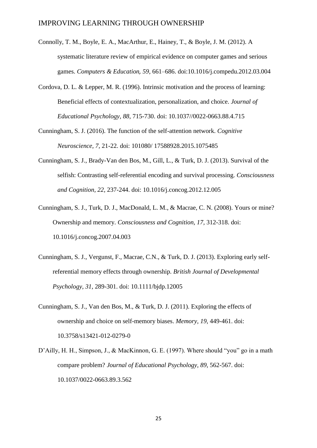- Connolly, T. M., Boyle, E. A., MacArthur, E., Hainey, T., & Boyle, J. M. (2012). A systematic literature review of empirical evidence on computer games and serious games. *[Computers & Education](http://www.sciencedirect.com/science/journal/03601315), 59,* 661–686. doi:10.1016/j.compedu.2012.03.004
- Cordova, D. L. & Lepper, M. R. (1996). Intrinsic motivation and the process of learning: Beneficial effects of contextualization, personalization, and choice. *Journal of Educational Psychology, 88,* 715-730. doi: 10.1037//0022-0663.88.4.715
- Cunningham, S. J. (2016). The function of the self-attention network. *Cognitive Neuroscience, 7,* 21-22. doi: 101080/ 17588928.2015.1075485
- Cunningham, S. J., Brady-Van den Bos, M., Gill, L., & Turk, D. J. (2013). Survival of the selfish: Contrasting self-referential encoding and survival processing. *Consciousness and Cognition, 22,* 237-244. doi: 10.1016/j.concog.2012.12.005
- Cunningham, S. J., Turk, D. J., MacDonald, L. M., & Macrae, C. N. (2008). Yours or mine? Ownership and memory. *Consciousness and Cognition, 17,* 312-318. doi: 10.1016/j.concog.2007.04.003
- Cunningham, S. J., Vergunst, F., Macrae, C.N., & Turk, D. J. (2013). Exploring early selfreferential memory effects through ownership. *British Journal of Developmental Psychology, 31,* 289-301. doi: 10.1111/bjdp.12005
- Cunningham, S. J., Van den Bos, M., & Turk, D. J. (2011). Exploring the effects of ownership and choice on self-memory biases. *Memory, 19,* 449-461. doi: 10.3758/s13421-012-0279-0
- D'Ailly, H. H., Simpson, J., & MacKinnon, G. E. (1997). Where should "you" go in a math compare problem? *Journal of Educational Psychology, 89,* 562-567. doi: 10.1037/0022-0663.89.3.562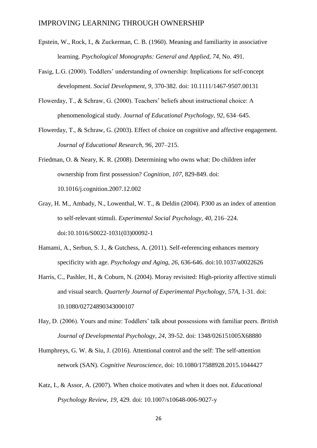- Epstein, W., Rock, I., & Zuckerman, C. B. (1960). Meaning and familiarity in associative learning. *Psychological Monographs: General and Applied, 74,* No. 491.
- Fasig, L.G. (2000). Toddlers' understanding of ownership: Implications for self-concept development. *Social Development, 9*, 370-382. doi: 10.1111/1467-9507.00131
- Flowerday, T., & Schraw, G. (2000). Teachers' beliefs about instructional choice: A phenomenological study. *Journal of Educational Psychology, 92*, 634–645.
- Flowerday, T., & Schraw, G. (2003). Effect of choice on cognitive and affective engagement. *Journal of Educational Research, 96*, 207–215.
- Friedman, O. & Neary, K. R. (2008). Determining who owns what: Do children infer ownership from first possession? *Cognition, 107,* 829-849. doi: 10.1016/j.cognition.2007.12.002
- Gray, H. M., Ambady, N., Lowenthal, W. T., & Deldin (2004). P300 as an index of attention to self-relevant stimuli. *Experimental Social Psychology, 40,* 216–224. doi:10.1016/S0022-1031(03)00092-1
- Hamami, A., Serbun, S. J., & Gutchess, A. (2011). Self-referencing enhances memory specificity with age. *Psychology and Aging, 26,* 636-646. doi:10.1037/a0022626
- Harris, C., Pashler, H., & Coburn, N. (2004). Moray revisited: High-priority affective stimuli and visual search. *Quarterly Journal of Experimental Psychology, 57A,* 1-31. doi: 10.1080/02724890343000107
- Hay, D. (2006). Yours and mine: Toddlers' talk about possessions with familiar peers. *British Journal of Developmental Psychology, 24,* 39-52. doi: 1348/026151005X68880
- Humphreys, G. W. & Siu, J. (2016). Attentional control and the self: The self-attention network (SAN). *Cognitive Neuroscience,* doi: 10.1080/17588928.2015.1044427
- Katz, I., & Assor, A. (2007). When choice motivates and when it does not. *Educational Psychology Review*, *19*, 429. doi: 10.1007/s10648-006-9027-y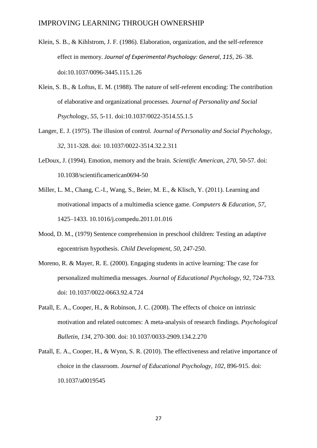- Klein, S. B., & Kihlstrom, J. F. (1986). Elaboration, organization, and the self-reference effect in memory. *Journal of Experimental Psychology: General*, *115*, 26–38. doi:10.1037/0096-3445.115.1.26
- Klein, S. B., & Loftus, E. M. (1988). The nature of self-referent encoding: The contribution of elaborative and organizational processes. *Journal of Personality and Social Psycho*logy, *55,* 5-11. doi:10.1037/0022-3514.55.1.5
- Langer, E. J. (1975). The illusion of control. *Journal of Personality and Social Psychology, 32*, 311-328. doi: 10.1037/0022-3514.32.2.311
- LeDoux, J. (1994). Emotion, memory and the brain. *Scientific American, 270,* 50-57. doi: 10.1038/scientificamerican0694-50
- Miller, L. M., Chang, C.-I., Wang, S., Beier, M. E., & Klisch, Y. (2011). Learning and motivational impacts of a multimedia science game. *Computers & Education, 57*, 1425–1433. 10.1016/j.compedu.2011.01.016
- Mood, D. M., (1979) Sentence comprehension in preschool children: Testing an adaptive egocentrism hypothesis. *Child Development, 50,* 247-250.
- Moreno, R. & Mayer, R. E. (2000). Engaging students in active learning: The case for personalized multimedia messages. *Journal of Educational Psychology, 92,* 724-733. doi: 10.1037/0022-0663.92.4.724
- Patall, E. A., Cooper, H., & Robinson, J. C. (2008). The effects of choice on intrinsic motivation and related outcomes: A meta-analysis of research findings. *Psychological Bulletin*, *134,* 270-300. doi: 10.1037/0033-2909.134.2.270
- Patall, E. A., Cooper, H., & Wynn, S. R. (2010). The effectiveness and relative importance of choice in the classroom. *Journal of Educational Psychology, 102*, 896-915. doi: 10.1037/a0019545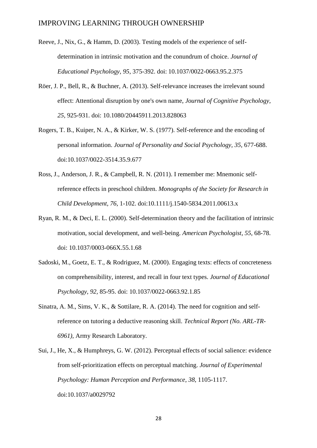- Reeve, J., Nix, G., & Hamm, D. (2003). Testing models of the experience of selfdetermination in intrinsic motivation and the conundrum of choice. *Journal of Educational Psychology, 95*, 375-392. doi: 10.1037/0022-0663.95.2.375
- Röer, J. P., Bell, R., & Buchner, A. (2013). Self-relevance increases the irrelevant sound effect: Attentional disruption by one's own name, *Journal of Cognitive Psychology, 25,* 925-931. doi: 10.1080/20445911.2013.828063
- Rogers, T. B., Kuiper, N. A., & Kirker, W. S. (1977). Self-reference and the encoding of personal information. *Journal of Personality and Social Psychology, 35*, 677-688. doi:10.1037/0022-3514.35.9.677
- Ross, J., Anderson, J. R., & Campbell, R. N. (2011). I remember me: Mnemonic selfreference effects in preschool children. *Monographs of the Society for Research in Child Development, 76,* 1-102. doi:10.1111/j.1540-5834.2011.00613.x
- Ryan, R. M., & Deci, E. L. (2000). Self-determination theory and the facilitation of intrinsic motivation, social development, and well-being. *American Psychologist*, *55*, 68-78. doi: 10.1037/0003-066X.55.1.68
- Sadoski, M., Goetz, E. T., & Rodriguez, M. (2000). Engaging texts: effects of concreteness on comprehensibility, interest, and recall in four text types. *Journal of Educational Psychology, 92,* 85-95. doi: 10.1037/0022-0663.92.1.85
- Sinatra, A. M., Sims, V. K., & Sottilare, R. A. (2014). The need for cognition and selfreference on tutoring a deductive reasoning skill. *Technical Report (No. ARL-TR-6961),* Army Research Laboratory.
- Sui, J., He, X., & Humphreys, G. W. (2012). Perceptual effects of social salience: evidence from self-prioritization effects on perceptual matching. *Journal of Experimental Psychology: Human Perception and Performance*, *38*, 1105-1117. doi:10.1037/a0029792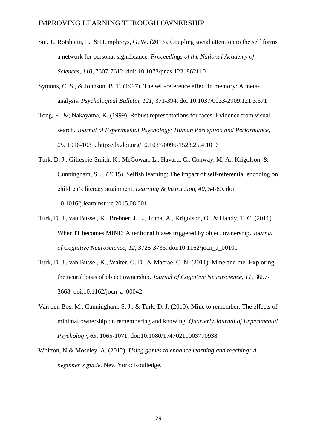- Sui, J., Rotshtein, P., & Humphreys, G. W. (2013). Coupling social attention to the self forms a network for personal significance. *Proceedings of the National Academy of Sciences*, *110*, 7607-7612. doi: 10.1073/pnas.1221862110
- Symons, C. S., & Johnson, B. T. (1997). The self-reference effect in memory: A metaanalysis. *Psychological Bulletin, 121*, 371-394. doi:10.1037/0033-2909.121.3.371
- Tong, F., &; Nakayama, K. (1999). Robust representations for faces: Evidence from visual search. *Journal of Experimental Psychology: Human Perception and Performance, 25,* 1016-1035. http://dx.doi.org/10.1037/0096-1523.25.4.1016
- Turk, D. J., Gillespie-Smith, K., McGowan, L., Havard, C., Conway, M. A., Krigolson, & Cunningham, S. J. (2015). Selfish learning: The impact of self-referential encoding on children's literacy attainment. *Learning & Instruction*, 40, 54-60. doi: 10.1016/j.learninstruc.2015.08.001
- Turk, D. J., van Bussel, K., Brebner, J. L., Toma, A., Krigolson, O., & Handy, T. C. (2011). When IT becomes MINE: Attentional biases triggered by object ownership. *Journal of Cognitive Neuroscience, 12,* 3725-3733. doi:10.1162/jocn\_a\_00101
- Turk, D. J., van Bussel, K., Waiter, G. D., & Macrae, C. N. (2011). Mine and me: Exploring the neural basis of object ownership. *Journal of Cognitive Neuroscience, 11,* 3657- 3668. doi:10.1162/jocn\_a\_00042
- Van den Bos, M., Cunningham, S. J., & Turk, D. J. (2010). Mine to remember: The effects of minimal ownership on remembering and knowing. *Quarterly Journal of Experimental Psychology, 63,* 1065-1071. doi:10.1080/17470211003770938
- Whitton, N & Moseley, A. (2012). *Using games to enhance learning and teaching: A beginner's guide.* New York: Routledge.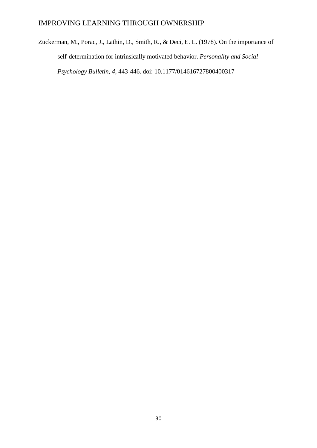Zuckerman, M., Porac, J., Lathin, D., Smith, R., & Deci, E. L. (1978). On the importance of self-determination for intrinsically motivated behavior. *Personality and Social Psychology Bulletin, 4,* 443-446. doi: 10.1177/014616727800400317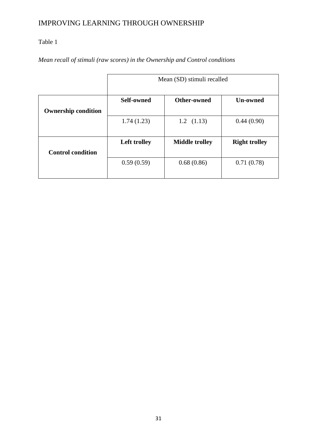# Table 1

*Mean recall of stimuli (raw scores) in the Ownership and Control conditions*

|                            | Mean (SD) stimuli recalled |                       |                      |
|----------------------------|----------------------------|-----------------------|----------------------|
| <b>Ownership condition</b> | <b>Self-owned</b>          | Other-owned           | <b>Un-owned</b>      |
|                            | 1.74(1.23)                 | $1.2$ $(1.13)$        | 0.44(0.90)           |
| <b>Control condition</b>   | Left trolley               | <b>Middle trolley</b> | <b>Right trolley</b> |
|                            | 0.59(0.59)                 | 0.68(0.86)            | 0.71(0.78)           |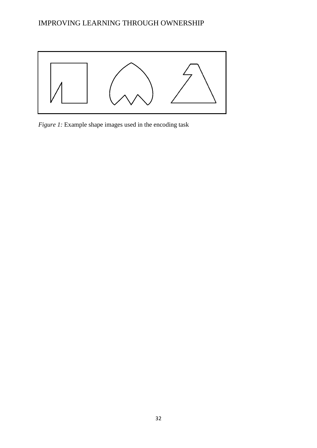

*Figure 1:* Example shape images used in the encoding task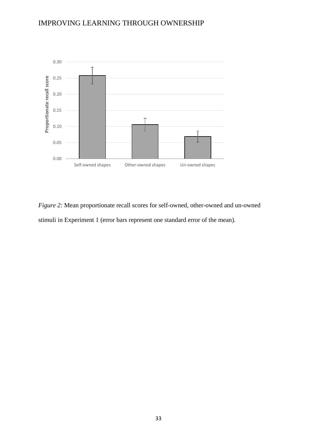

*Figure 2:* Mean proportionate recall scores for self-owned, other-owned and un-owned stimuli in Experiment 1 (error bars represent one standard error of the mean).